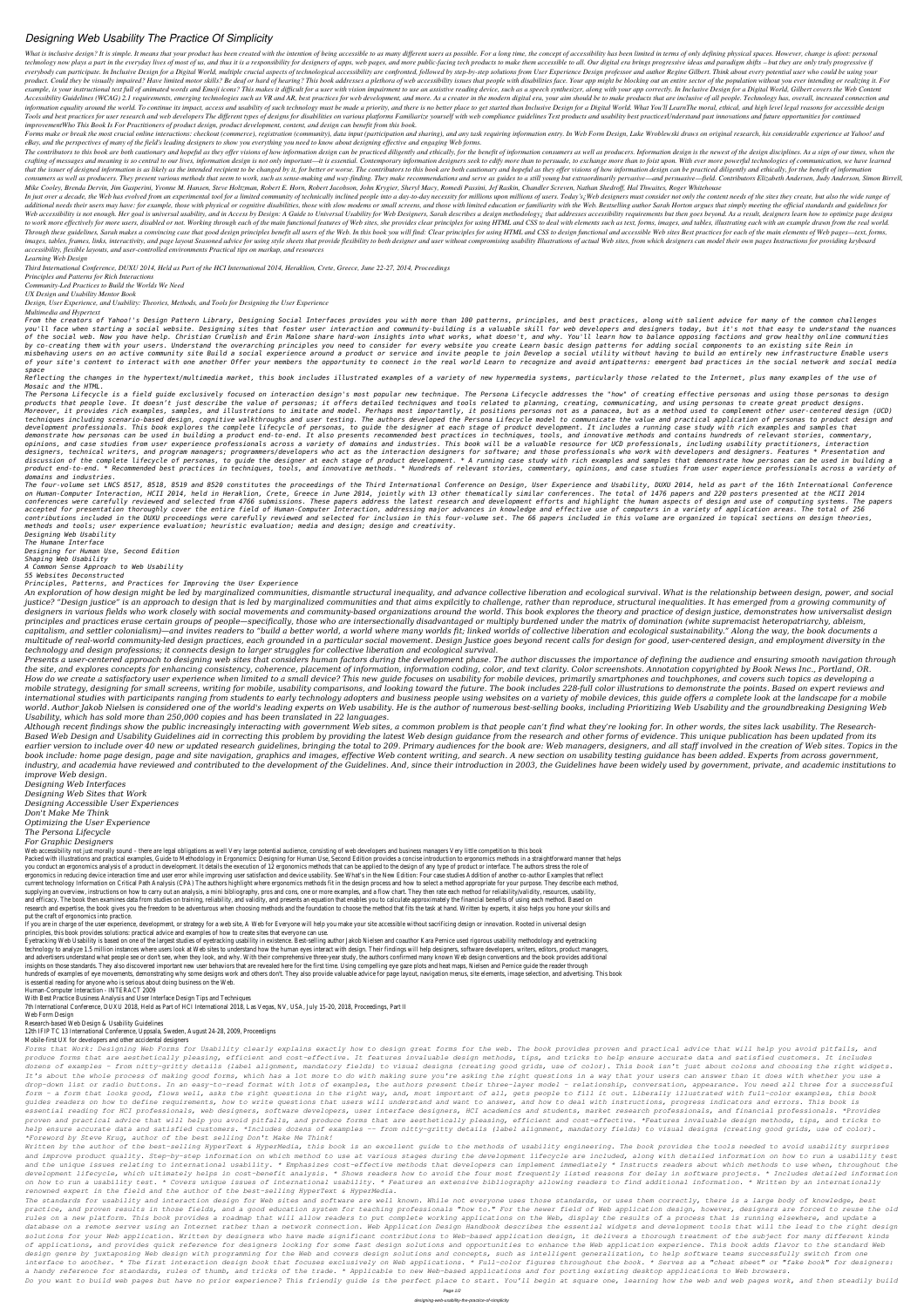## *Designing Web Usability The Practice Of Simplicity*

What is inclusive design? It is simple. It means that your product has been created with the intention of being accessible to as many different users as possible. For a long time, the concept of accessibility has been limi technology now plays a part in the everyday lives of most of us, and thus it is a responsibility for designers of apps, web pages, and more public-facing tech products to make them accessible to all. Our digital era brings everybody can participate. In Inclusive Design for a Digital World, multiple crucial aspects of technological accessibility are confronted, followed by step-by-step solutions from User Experience Design professor and autho product. Could they be visually impaired? Have limited motor skills? Be deaf or hard of hearing? This book addresses a plethora of web accessibility issues that people with disabilities face. Your app might be blocking out example, is your instructional text full of animated words and Emoji icons? This makes it difficult for a user with vision impairment to use an assistive reading device, such as a speech synthesizer, along with your app co Accessibility Guidelines (WCAG) 2.1 requirements, emerging technologies such as VR and AR, best practices for web development, and more. As a creator in the modern digital era, your aim should be to make products that are information equality around the world. To continue its impact, access and usability of such technology must be made a priority, and there is no better place to get started than Inclusive Design for a Digital World. What Yo Tools and best practices for user research and web developers The different types of designs for disabilities on various platforms Familiarize vourself with web compliance guidelines Test products and usability best practi *improvementWho This Book Is For Practitioners of product design, product development, content, and design can benefit from this book.*

Forms make or break the most crucial online interactions: checkout (commerce), registration (community), data input (participation and sharing), and any task requiring information entry. In Web Form Design, Luke Wroblewski *eBay, and the perspectives of many of the field's leading designers to show you everything you need to know about designing effective and engaging Web forms.*

The contributors to this book are both cautionary and hopeful as they offer visions of how information design can be practiced diligently and ethically, for the benefit of information consumers as well as producers. Inform crafting of messages and meaning is so central to our lives, information design is not only important—it is essential. Contemporary information designers seek to edify more than to persuade, to exchange more than to foist that the issuer of designed information is as likely as the intended recipient to be changed by it, for better or worse. The contributors to this book are both cautionary and hopeful as they offer visions of how informatio consumers as well as producers. They present various methods that seem to work, such as sense-making and way-finding. They make recommendations and serve as guides to a still young but extraordinarily pervasive—and persuas Mike Cooley, Brenda Dervin, Jim Gasperini, Yvonne M. Hansen, Steve Holtzman, Robert E. Horn, Robert Jacobson, John Krygier, Sheryl Macy, Romedi Passini, Jef Raskin, Chandler Screven, Nathan Shedroff, Hal Thwaites, Roger Wh

In just over a decade, the Web has evolved from an experimental tool for a limited community of technically inclined people into a day-to-day necessity for millions upon millions upon millions of users. Today's in Web desi additional needs their users may have: for example, those with physical or cognitive disabilities, those with slow modems or small screens, and those with limited education or familiarity with the Web. Bestselling author S Web accessibility is not enough. Her goal is universal usability, and in Access by Design: A Guide to Universal Usability for Web Designers, Sarah describes a design methodology; that addresses accessibility requirements b to work more effectively for more users, disabled or not. Working through each of the main functional features of Web sites, she provides clear principles for using HTML and CSS to deal with elements such as text, forms, i Through these guidelines, Sarah makes a convincing case that good design principles benefit all users of the Web. In this book you will find: Clear principles for using HTML and CSS to design functional and accessible Web images, tables, frames, links, interactivity, and page layout Seasoned advice for using style sheets that provide flexibility to both designer and user without compromising usability Illustrations of actual Web sites, from *accessibility, flexible layouts, and user-controlled environments Practical tips on markup, and resources*

The Persona Lifecycle is a field quide exclusively focused on interaction design's most popular new technique. The Persona Lifecycle addresses the "how" of creating effective personas and using those personas to design *products that people love. It doesn't just describe the value of personas; it offers detailed techniques and tools related to planning, creating, communicating, and using personas to create great product designs.* Moreover, it provides rich examples, samples, and illustrations to imitate and model. Perhaps most importantly, it positions personas not as a panacea, but as a method used to complement other user-centered design (UCD) techniques including scenario-based design, cognitive walkthroughs and user testing. The authors developed the Persona Lifecycle model to communicate the value and practical application of personas to product design and *development professionals. This book explores the complete lifecycle of personas, to guide the designer at each stage of product development. It includes a running case study with rich examples and samples that demonstrate how personas can be used in building a product end-to-end. It also presents recommended best practices in techniques, tools, and innovative methods and contains hundreds of relevant stories, commentary, opinions, and case studies from user experience professionals across a variety of domains and industries. This book will be a valuable resource for UCD professionals, including usability practitioners, interaction designers, technical writers, and program managers; programmers/developers who act as the interaction designers for software; and those professionals who work with developers and designers. Features \* Presentation and* discussion of the complete lifecycle of personas, to guide the designer at each stage of product development. \* A running case study with rich examples and samples that demonstrate how personas can be used in building a product end-to-end, \* Recommended best practices in techniques, tools, and innovative methods, \* Hundreds of relevant stories, commentary, opinions, and case studies from user experience professionals across a variety of *domains and industries.*

*Learning Web Design*

*Third International Conference, DUXU 2014, Held as Part of the HCI International 2014, Heraklion, Crete, Greece, June 22-27, 2014, Proceedings*

*Principles and Patterns for Rich Interactions*

*Community-Led Practices to Build the Worlds We Need*

*UX Design and Usability Mentor Book*

*Design, User Experience, and Usability: Theories, Methods, and Tools for Designing the User Experience*

*Multimedia and Hypertext*

*From the creators of Yahoo!'s Design Pattern Library, Designing Social Interfaces provides you with more than 100 patterns, principles, and best practices, along with salient advice for many of the common challenges* you'll face when starting a social website. Designing sites that foster user interaction and community-building is a valuable skill for web developers and designers today, but it's not that easy to understand the nuances of the social web. Now you have help. Christian Crumlish and Erin Malone share hard-won insights into what works, what doesn't, and why. You'll learn how to balance opposing factions and grow healthy online communities *by co-creating them with your users. Understand the overarching principles you need to consider for every website you create Learn basic design patterns for adding social components to an existing site Rein in* misbehaving users on an active community site Build a social experience around a product or service and invite people to join Develop a social utility without having to build an entirely new infrastructure Enable users of your site's content to interact with one another Offer your members the opportunity to connect in the real world Learn to recognize and avoid antipatterns: emergent bad practices in the social network and social media *space*

The four-volume set LNCS 8517, 8518, 8519 and 8520 constitutes the proceedings of the Third International Conference on Design, User Experience and Usability, DUXU 2014, held as part of the 16th International Conference *on Human-Computer Interaction, HCII 2014, held in Heraklion, Crete, Greece in June 2014, jointly with 13 other thematically similar conferences. The total of 1476 papers and 220 posters presented at the HCII 2014* conferences were carefully reviewed and selected from 4766 submissions. These papers address the latest research and development efforts and highlight the human aspects of design and use of computing systems. The papers *accepted for presentation thoroughly cover the entire field of Human-Computer Interaction, addressing major advances in knowledge and effective use of computers in a variety of application areas. The total of 256 contributions included in the DUXU proceedings were carefully reviewed and selected for inclusion in this four-volume set. The 66 papers included in this volume are organized in topical sections on design theories, methods and tools; user experience evaluation; heuristic evaluation; media and design; design and creativity. Designing Web Usability The Humane Interface Designing for Human Use, Second Edition Shaping Web Usability A Common Sense Approach to Web Usability 55 Websites Deconstructed Principles, Patterns, and Practices for Improving the User Experience* An exploration of how design might be led by marginalized communities, dismantle structural inequality, and advance collective liberation and ecological survival. What is the relationship between design, power, and social justice? "Design justice" is an approach to design that is led by marginalized communities and that aims expilcitly to challenge, rather than reproduce, structural inequalities. It has emerged from a growing community of *designers in various fields who work closely with social movements and community-based organizations around the world. This book explores the theory and practice of design justice, demonstrates how universalist design principles and practices erase certain groups of people—specifically, those who are intersectionally disadvantaged or multiply burdened under the matrix of domination (white supremacist heteropatriarchy, ableism,* capitalism, and settler colonialism)—and invites readers to "build a better world, a world where many worlds fit; linked worlds of collective liberation and ecological sustainability." Along the way, the book documents a *multitude of real-world community-led design practices, each grounded in a particular social movement. Design Justice goes beyond recent calls for design for good, user-centered design, and employment diversity in the technology and design professions; it connects design to larger struggles for collective liberation and ecological survival. Presents a user-centered approach to designing web sites that considers human factors during the development phase. The author discusses the importance of defining the audience and ensuring smooth navigation through the site, and explores concepts for enhancing consistency, coherence, placement of information, information coding, color, and text clarity. Color screenshots. Annotation copyrighted by Book News Inc., Portland, OR. How do we create a satisfactory user experience when limited to a small device? This new guide focuses on usability for mobile devices, primarily smartphones and touchphones, and covers such topics as developing a* mobile strategy, designing for small screens, writing for mobile, usability comparisons, and looking toward the future. The book includes 228-full color illustrations to demonstrate the points. Based on expert reviews and international studies with participants ranging from students to early technology adopters and business people using websites on a variety of mobile devices, this quide offers a complete look at the landscape for a mobile *world. Author Jakob Nielsen is considered one of the world's leading experts on Web usability. He is the author of numerous best-selling books, including Prioritizing Web Usability and the groundbreaking Designing Web Usability, which has sold more than 250,000 copies and has been translated in 22 languages.* Although recent findings show the public increasingly interacting with government Web sites, a common problem is that people can't find what they're looking for. In other words, the sites lack usability. The Research-*Based Web Design and Usability Guidelines aid in correcting this problem by providing the latest Web design guidance from the research and other forms of evidence. This unique publication has been updated from its* earlier version to include over 40 new or updated research quidelines, bringing the total to 209. Primary audiences for the book are: Web managers, designers, and all staff involved in the creation of Web sites. Topics in *book include: home page design, page and site navigation, graphics and images, effective Web content writing, and search. A new section on usability testing guidance has been added. Experts from across government,* industry, and academia have reviewed and contributed to the development of the Guidelines. And, since their introduction in 2003, the Guidelines have been widely used by government, private, and academic institutions to *improve Web design. Designing Web Interfaces*

*Reflecting the changes in the hypertext/multimedia market, this book includes illustrated examples of a variety of new hypermedia systems, particularly those related to the Internet, plus many examples of the use of Mosaic and the HTML.*

Web accessibility not just morally sound – there are legal obligations as well Very large potential audience, consisting of web developers and business managers Very little competition to this book Packed with illustrations and practical examples, Guide to Methodology in Ergonomics: Designing for Human Use, Second Edition provides a concise introduction to ergonomics methods in a straightforward manner that helps you conduct an ergonomics analysis of a product in development. It details the execution of 12 ergonomics methods that can be applied to the design of any type of product or interface. The authors stress the role of ergonomics in reducing device interaction time and user error while improving user satisfaction and device usability. See What's in the New Edition: Four case studies Addition of another co-author Examples that reflect current technology Information on Critical Path Analysis (CPA) The authors highlight where ergonomics methods fit in the design process and how to select a method appropriate for your purpose. They describe each method, supplying an overview, instructions on how to carry out an analysis, a mini bibliography, pros and cons, one or more examples, and a flow chart. They then rate each method for reliability/validity, resources, usability, and efficacy. The book then examines data from studies on training, reliability, and validity, and presents an equation that enables you to calculate approximately the financial benefits of using each method. Based on research and expertise, the book gives you the freedom to be adventurous when choosing methods and the foundation to choose the method that fits the task at hand. Written by experts, it also helps you hone your skills and put the craft of ergonomics into practice.

If you are in charge of the user experience, development, or strategy for a web site, A Web for Everyone will help you make your site accessible without sacrificing design or innovation. Rooted in universal design principles, this book provides solutions: practical advice and examples of how to create sites that everyone can use.

*Designing Web Sites that Work*

*Designing Accessible User Experiences*

*Don't Make Me Think*

*Optimizing the User Experience*

*The Persona Lifecycle*

*For Graphic Designers*

Eyetracking Web Usability is based on one of the largest studies of eyetracking usability in existence. Best-selling author Jakob Nielsen and coauthor Kara Pernice used rigorous usability methodology and eyetracking technology to analyze 1.5 million instances where users look at Web sites to understand how the human eyes interact with design. Their findings will help designers, software developers, writers, editors, product managers, and advertisers understand what people see or don't see, when they look, and why. With their comprehensive three-year study, the authors confirmed many known Web design conventions and the book provides additional insights on those standards. They also discovered important new user behaviors that are revealed here for the first time. Using compelling eye gaze plots and heat maps, Nielsen and Pernice guide the reader through hundreds of examples of eye movements, demonstrating why some designs work and others don't. They also provide valuable advice for page layout, navigation menus, site elements, image selection, and advertising. This book is essential reading for anyone who is serious about doing business on the Web.

Human-Computer Interaction - INTERACT 2009 With Best Practice Business Analysis and User Interface Design Tips and Techniques 7th International Conference, DUXU 2018, Held as Part of HCI International 2018, Las Vegas, NV, USA, July 15-20, 2018, Proceedings, Part II Web Form Design Research-based Web Design & Usability Guidelines

12th IFIP TC 13 International Conference, Uppsala, Sweden, August 24-28, 2009, Proceedigns

Mobile-first UX for developers and other accidental designers

*Forms that Work: Designing Web Forms for Usability clearly explains exactly how to design great forms for the web. The book provides proven and practical advice that will help you avoid pitfalls, and produce forms that are aesthetically pleasing, efficient and cost-effective. It features invaluable design methods, tips, and tricks to help ensure accurate data and satisfied customers. It includes dozens of examples - from nitty-gritty details (label alignment, mandatory fields) to visual designs (creating good grids, use of color). This book isn't just about colons and choosing the right widgets. It's about the whole process of making good forms, which has a lot more to do with making sure you're asking the right questions in a way that your users can answer than it does with whether you use a drop-down list or radio buttons. In an easy-to-read format with lots of examples, the authors present their three-layer model - relationship, conversation, appearance. You need all three for a successful form - a form that looks good, flows well, asks the right questions in the right way, and, most important of all, gets people to fill it out. Liberally illustrated with full-color examples, this book guides readers on how to define requirements, how to write questions that users will understand and want to answer, and how to deal with instructions, progress indicators and errors. This book is essential reading for HCI professionals, web designers, software developers, user interface designers, HCI academics and students, market research professionals, and financial professionals. \*Provides proven and practical advice that will help you avoid pitfalls, and produce forms that are aesthetically pleasing, efficient and cost-effective. \*Features invaluable design methods, tips, and tricks to help ensure accurate data and satisfied customers. \*Includes dozens of examples -- from nitty-gritty details (label alignment, mandatory fields) to visual designs (creating good grids, use of color). \*Foreword by Steve Krug, author of the best selling Don't Make Me Think!*

*Written by the author of the best-selling HyperText & HyperMedia, this book is an excellent guide to the methods of usability engineering. The book provides the tools needed to avoid usability surprises and improve product quality. Step-by-step information on which method to use at various stages during the development lifecycle are included, along with detailed information on how to run a usability test and the unique issues relating to international usability. \* Emphasizes cost-effective methods that developers can implement immediately \* Instructs readers about which methods to use when, throughout the development lifecycle, which ultimately helps in cost-benefit analysis. \* Shows readers how to avoid the four most frequently listed reasons for delay in software projects. \* Includes detailed information on how to run a usability test. \* Covers unique issues of international usability. \* Features an extensive bibliography allowing readers to find additional information. \* Written by an internationally renowned expert in the field and the author of the best-selling HyperText & HyperMedia.*

*The standards for usability and interaction design for Web sites and software are well known. While not everyone uses those standards, or uses them correctly, there is a large body of knowledge, best practice, and proven results in those fields, and a good education system for teaching professionals "how to." For the newer field of Web application design, however, designers are forced to reuse the old rules on a new platform. This book provides a roadmap that will allow readers to put complete working applications on the Web, display the results of a process that is running elsewhere, and update a database on a remote server using an Internet rather than a network connection. Web Application Design Handbook describes the essential widgets and development tools that will the lead to the right design solutions for your Web application. Written by designers who have made significant contributions to Web-based application design, it delivers a thorough treatment of the subject for many different kinds of applications, and provides quick reference for designers looking for some fast design solutions and opportunities to enhance the Web application experience. This book adds flavor to the standard Web design genre by juxtaposing Web design with programming for the Web and covers design solutions and concepts, such as intelligent generalization, to help software teams successfully switch from one interface to another. \* The first interaction design book that focuses exclusively on Web applications. \* Full-color figures throughout the book. \* Serves as a "cheat sheet" or "fake book" for designers: a handy reference for standards, rules of thumb, and tricks of the trade. \* Applicable to new Web-based applications and for porting existing desktop applications to Web browsers. Do you want to build web pages but have no prior experience? This friendly guide is the perfect place to start. You'll begin at square one, learning how the web and web pages work, and then steadily build*